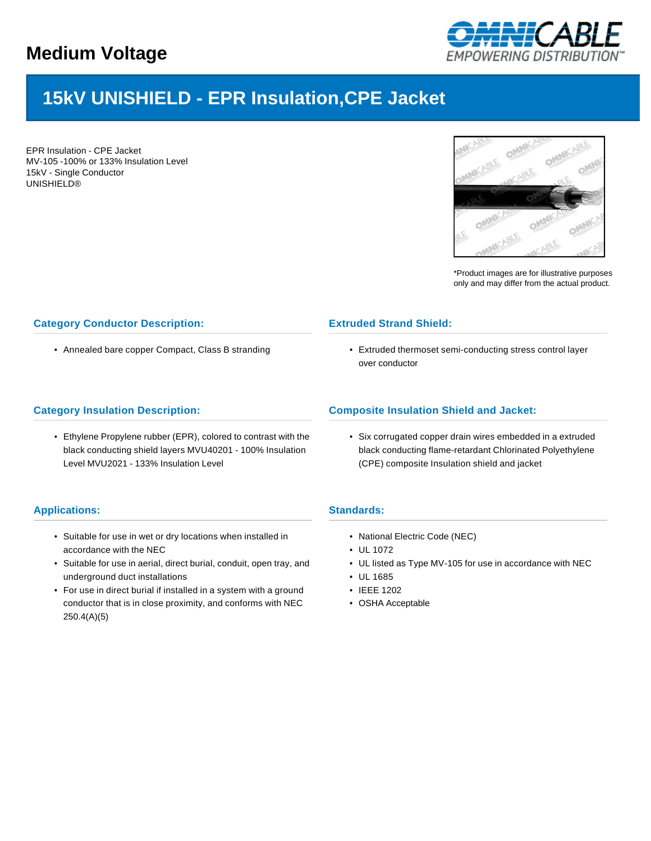

# **15kV UNISHIELD - EPR Insulation,CPE Jacket**

EPR Insulation - CPE Jacket MV-105 -100% or 133% Insulation Level 15kV - Single Conductor UNISHIELD®



\*Product images are for illustrative purposes only and may differ from the actual product.

## **Category Conductor Description:**

• Annealed bare copper Compact, Class B stranding

#### **Category Insulation Description:**

• Ethylene Propylene rubber (EPR), colored to contrast with the black conducting shield layers MVU40201 - 100% Insulation Level MVU2021 - 133% Insulation Level

## **Extruded Strand Shield:**

• Extruded thermoset semi-conducting stress control layer over conductor

## **Composite Insulation Shield and Jacket:**

• Six corrugated copper drain wires embedded in a extruded black conducting flame-retardant Chlorinated Polyethylene (CPE) composite Insulation shield and jacket

#### **Standards:**

- National Electric Code (NEC)
- UL 1072
- UL listed as Type MV-105 for use in accordance with NEC
- UL 1685
- IEEE 1202
- OSHA Acceptable

#### **Applications:**

- Suitable for use in wet or dry locations when installed in accordance with the NEC
- Suitable for use in aerial, direct burial, conduit, open tray, and underground duct installations
- For use in direct burial if installed in a system with a ground conductor that is in close proximity, and conforms with NEC 250.4(A)(5)